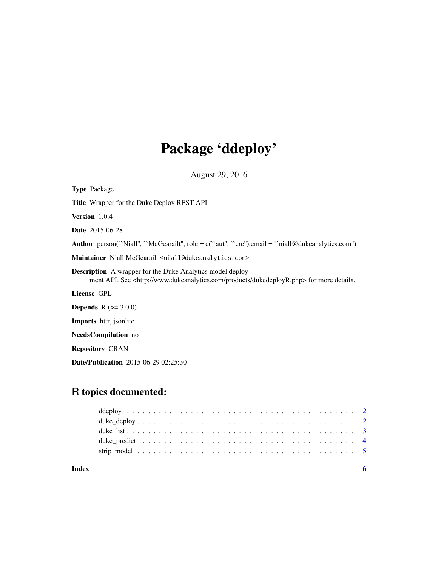# Package 'ddeploy'

August 29, 2016

| <b>Type Package</b>                                                                                                                                                          |
|------------------------------------------------------------------------------------------------------------------------------------------------------------------------------|
| <b>Title</b> Wrapper for the Duke Deploy REST API                                                                                                                            |
| <b>Version</b> $1.0.4$                                                                                                                                                       |
| <b>Date</b> 2015-06-28                                                                                                                                                       |
| <b>Author</b> person("Niall", "McGearailt", role = $c$ ("aut", "cre"), email = "niall@dukeanalytics.com")                                                                    |
| Maintainer Niall McGearailt <niall@dukeanalytics.com></niall@dukeanalytics.com>                                                                                              |
| <b>Description</b> A wrapper for the Duke Analytics model deploy-<br>ment API. See <http: dukedeployr.php="" products="" www.dukeanalytics.com=""> for more details.</http:> |
| License GPL                                                                                                                                                                  |
| <b>Depends</b> $R (= 3.0.0)$                                                                                                                                                 |
| <b>Imports</b> httr, jsonlite                                                                                                                                                |
| <b>NeedsCompilation</b> no                                                                                                                                                   |

Repository CRAN

Date/Publication 2015-06-29 02:25:30

# R topics documented:

| Index |  |  |  |  |  |  |  |  |  |  |  |  |  |  |  |  |  |
|-------|--|--|--|--|--|--|--|--|--|--|--|--|--|--|--|--|--|
|       |  |  |  |  |  |  |  |  |  |  |  |  |  |  |  |  |  |
|       |  |  |  |  |  |  |  |  |  |  |  |  |  |  |  |  |  |
|       |  |  |  |  |  |  |  |  |  |  |  |  |  |  |  |  |  |
|       |  |  |  |  |  |  |  |  |  |  |  |  |  |  |  |  |  |
|       |  |  |  |  |  |  |  |  |  |  |  |  |  |  |  |  |  |

1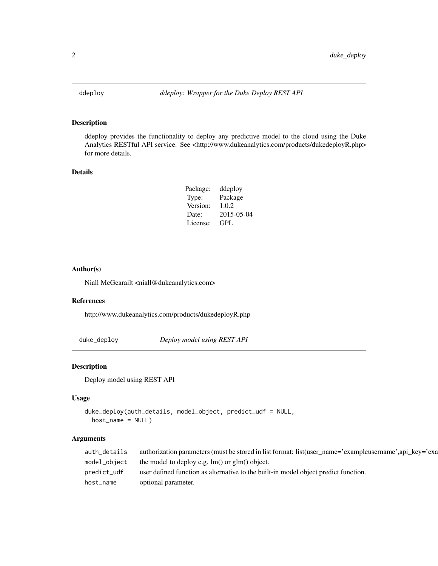<span id="page-1-0"></span>

# Description

ddeploy provides the functionality to deploy any predictive model to the cloud using the Duke Analytics RESTful API service. See <http://www.dukeanalytics.com/products/dukedeployR.php> for more details.

#### Details

| ddeploy    |
|------------|
| Package    |
| 1.0.2      |
| 2015-05-04 |
| GPL        |
|            |

#### Author(s)

Niall McGearailt <niall@dukeanalytics.com>

### References

http://www.dukeanalytics.com/products/dukedeployR.php

<span id="page-1-1"></span>duke\_deploy *Deploy model using REST API*

#### Description

Deploy model using REST API

### Usage

```
duke_deploy(auth_details, model_object, predict_udf = NULL,
 host_name = NULL)
```
# Arguments

| auth_details | authorization parameters (must be stored in list format: list(user_name='exampleusername',api_key='exa |
|--------------|--------------------------------------------------------------------------------------------------------|
| model_object | the model to deploy e.g. $\text{Im}()$ or $\text{glm}()$ object.                                       |
| predict udf  | user defined function as alternative to the built-in model object predict function.                    |
| host_name    | optional parameter.                                                                                    |
|              |                                                                                                        |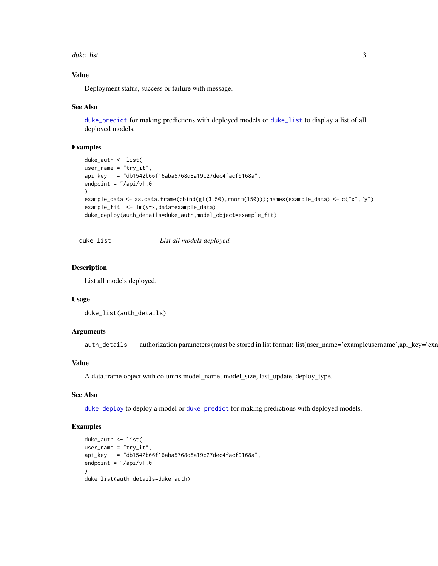#### <span id="page-2-0"></span>duke\_list 3

### Value

Deployment status, success or failure with message.

#### See Also

[duke\\_predict](#page-3-1) for making predictions with deployed models or [duke\\_list](#page-2-1) to display a list of all deployed models.

#### Examples

```
duke_auth <- list(
user_name = "try-it",api_key = "db1542b66f16aba5768d8a19c27dec4facf9168a",
endpoint = ''/api/v1.0")
example_data <- as.data.frame(cbind(gl(3,50),rnorm(150)));names(example_data) <- c("x","y")
example_fit <- lm(y~x,data=example_data)
duke_deploy(auth_details=duke_auth,model_object=example_fit)
```
<span id="page-2-1"></span>duke\_list *List all models deployed.*

#### Description

List all models deployed.

#### Usage

duke\_list(auth\_details)

#### **Arguments**

auth\_details authorization parameters (must be stored in list format: list(user\_name='exampleusername',api\_key='exa

#### Value

A data.frame object with columns model\_name, model\_size, last\_update, deploy\_type.

# See Also

[duke\\_deploy](#page-1-1) to deploy a model or [duke\\_predict](#page-3-1) for making predictions with deployed models.

#### Examples

```
duke_auth <- list(
user_name = "try_it",
api_key = "db1542b66f16aba5768d8a19c27dec4facf9168a",
endpoint = "/api/v1.0")
duke_list(auth_details=duke_auth)
```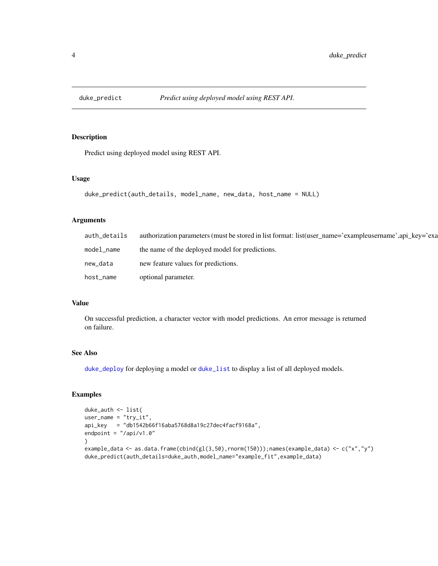<span id="page-3-1"></span><span id="page-3-0"></span>

# Description

Predict using deployed model using REST API.

#### Usage

```
duke_predict(auth_details, model_name, new_data, host_name = NULL)
```
# Arguments

| auth_details | authorization parameters (must be stored in list format: list (user name='exampleusername',api key='exa |
|--------------|---------------------------------------------------------------------------------------------------------|
| model_name   | the name of the deployed model for predictions.                                                         |
| new_data     | new feature values for predictions.                                                                     |
| host_name    | optional parameter.                                                                                     |

# Value

On successful prediction, a character vector with model predictions. An error message is returned on failure.

### See Also

[duke\\_deploy](#page-1-1) for deploying a model or [duke\\_list](#page-2-1) to display a list of all deployed models.

# Examples

```
duke_auth <- list(
user_name = "try-it",api_key = "db1542b66f16aba5768d8a19c27dec4facf9168a",
endpoint = ''/api/v1.0")
example_data <- as.data.frame(cbind(gl(3,50),rnorm(150)));names(example_data) <- c("x","y")
duke_predict(auth_details=duke_auth,model_name="example_fit",example_data)
```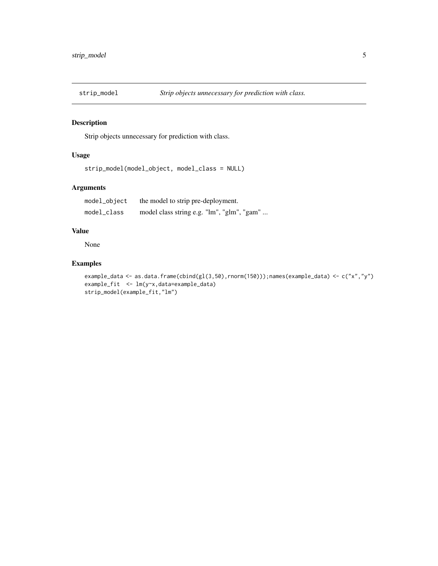<span id="page-4-0"></span>

# Description

Strip objects unnecessary for prediction with class.

# Usage

```
strip_model(model_object, model_class = NULL)
```
# Arguments

| model_object | the model to strip pre-deployment.         |
|--------------|--------------------------------------------|
| model_class  | model class string e.g. "lm", "glm", "gam" |

### Value

None

# Examples

```
example_data <- as.data.frame(cbind(gl(3,50),rnorm(150)));names(example_data) <- c("x","y")
example_fit <- lm(y~x,data=example_data)
strip_model(example_fit,"lm")
```